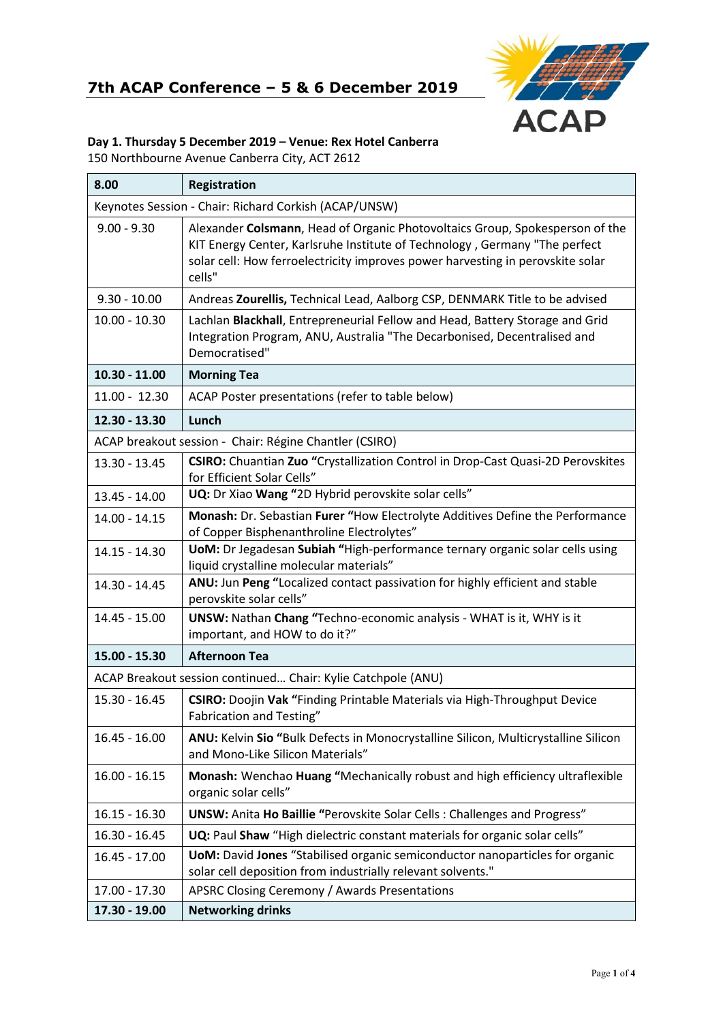

#### **Day 1. Thursday 5 December 2019 – Venue: Rex Hotel Canberra** 150 Northbourne Avenue Canberra City, ACT 2612

| 8.00                                                         | Registration                                                                                                                                                                                                                                           |  |  |
|--------------------------------------------------------------|--------------------------------------------------------------------------------------------------------------------------------------------------------------------------------------------------------------------------------------------------------|--|--|
| Keynotes Session - Chair: Richard Corkish (ACAP/UNSW)        |                                                                                                                                                                                                                                                        |  |  |
| $9.00 - 9.30$                                                | Alexander Colsmann, Head of Organic Photovoltaics Group, Spokesperson of the<br>KIT Energy Center, Karlsruhe Institute of Technology, Germany "The perfect<br>solar cell: How ferroelectricity improves power harvesting in perovskite solar<br>cells" |  |  |
| $9.30 - 10.00$                                               | Andreas Zourellis, Technical Lead, Aalborg CSP, DENMARK Title to be advised                                                                                                                                                                            |  |  |
| $10.00 - 10.30$                                              | Lachlan Blackhall, Entrepreneurial Fellow and Head, Battery Storage and Grid<br>Integration Program, ANU, Australia "The Decarbonised, Decentralised and<br>Democratised"                                                                              |  |  |
| $10.30 - 11.00$                                              | <b>Morning Tea</b>                                                                                                                                                                                                                                     |  |  |
| 11.00 - 12.30                                                | ACAP Poster presentations (refer to table below)                                                                                                                                                                                                       |  |  |
| $12.30 - 13.30$                                              | Lunch                                                                                                                                                                                                                                                  |  |  |
| ACAP breakout session - Chair: Régine Chantler (CSIRO)       |                                                                                                                                                                                                                                                        |  |  |
| $13.30 - 13.45$                                              | CSIRO: Chuantian Zuo "Crystallization Control in Drop-Cast Quasi-2D Perovskites<br>for Efficient Solar Cells"                                                                                                                                          |  |  |
| $13.45 - 14.00$                                              | UQ: Dr Xiao Wang "2D Hybrid perovskite solar cells"                                                                                                                                                                                                    |  |  |
| 14.00 - 14.15                                                | Monash: Dr. Sebastian Furer "How Electrolyte Additives Define the Performance<br>of Copper Bisphenanthroline Electrolytes"                                                                                                                             |  |  |
| $14.15 - 14.30$                                              | UoM: Dr Jegadesan Subiah "High-performance ternary organic solar cells using<br>liquid crystalline molecular materials"                                                                                                                                |  |  |
| 14.30 - 14.45                                                | ANU: Jun Peng "Localized contact passivation for highly efficient and stable<br>perovskite solar cells"                                                                                                                                                |  |  |
| $14.45 - 15.00$                                              | UNSW: Nathan Chang "Techno-economic analysis - WHAT is it, WHY is it<br>important, and HOW to do it?"                                                                                                                                                  |  |  |
| 15.00 - 15.30                                                | <b>Afternoon Tea</b>                                                                                                                                                                                                                                   |  |  |
| ACAP Breakout session continued Chair: Kylie Catchpole (ANU) |                                                                                                                                                                                                                                                        |  |  |
| $15.30 - 16.45$                                              | CSIRO: Doojin Vak "Finding Printable Materials via High-Throughput Device<br>Fabrication and Testing"                                                                                                                                                  |  |  |
| $16.45 - 16.00$                                              | ANU: Kelvin Sio "Bulk Defects in Monocrystalline Silicon, Multicrystalline Silicon<br>and Mono-Like Silicon Materials"                                                                                                                                 |  |  |
| $16.00 - 16.15$                                              | Monash: Wenchao Huang "Mechanically robust and high efficiency ultraflexible<br>organic solar cells"                                                                                                                                                   |  |  |
| $16.15 - 16.30$                                              | <b>UNSW:</b> Anita Ho Baillie "Perovskite Solar Cells : Challenges and Progress"                                                                                                                                                                       |  |  |
| $16.30 - 16.45$                                              | UQ: Paul Shaw "High dielectric constant materials for organic solar cells"                                                                                                                                                                             |  |  |
| $16.45 - 17.00$                                              | UoM: David Jones "Stabilised organic semiconductor nanoparticles for organic<br>solar cell deposition from industrially relevant solvents."                                                                                                            |  |  |
| 17.00 - 17.30                                                | APSRC Closing Ceremony / Awards Presentations                                                                                                                                                                                                          |  |  |
| 17.30 - 19.00                                                | <b>Networking drinks</b>                                                                                                                                                                                                                               |  |  |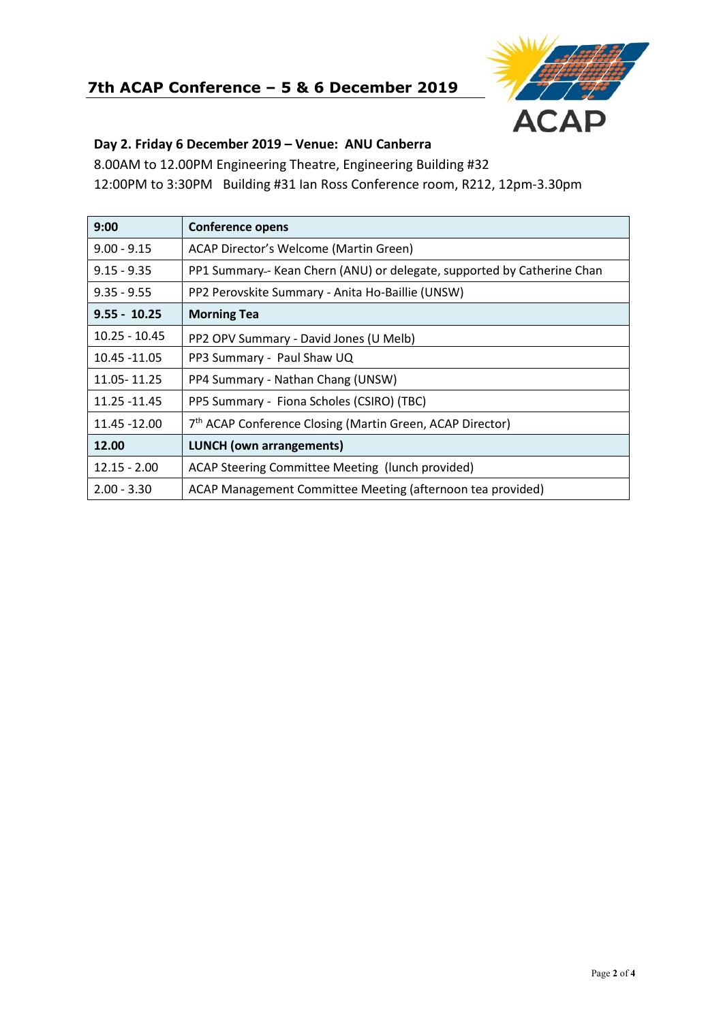### **7th ACAP Conference – 5 & 6 December 2019**



### **Day 2. Friday 6 December 2019 – Venue: ANU Canberra**

8.00AM to 12.00PM Engineering Theatre, Engineering Building #32

12:00PM to 3:30PM Building #31 Ian Ross Conference room, R212, 12pm-3.30pm

| 9:00            | Conference opens                                                        |
|-----------------|-------------------------------------------------------------------------|
| $9.00 - 9.15$   | ACAP Director's Welcome (Martin Green)                                  |
| $9.15 - 9.35$   | PP1 Summary-- Kean Chern (ANU) or delegate, supported by Catherine Chan |
| $9.35 - 9.55$   | PP2 Perovskite Summary - Anita Ho-Baillie (UNSW)                        |
| $9.55 - 10.25$  | <b>Morning Tea</b>                                                      |
| $10.25 - 10.45$ | PP2 OPV Summary - David Jones (U Melb)                                  |
| 10.45 -11.05    | PP3 Summary - Paul Shaw UQ                                              |
| 11.05 - 11.25   | PP4 Summary - Nathan Chang (UNSW)                                       |
| 11.25 - 11.45   | PP5 Summary - Fiona Scholes (CSIRO) (TBC)                               |
| 11.45 -12.00    | 7 <sup>th</sup> ACAP Conference Closing (Martin Green, ACAP Director)   |
| 12.00           | <b>LUNCH</b> (own arrangements)                                         |
| $12.15 - 2.00$  | ACAP Steering Committee Meeting (lunch provided)                        |
| $2.00 - 3.30$   | ACAP Management Committee Meeting (afternoon tea provided)              |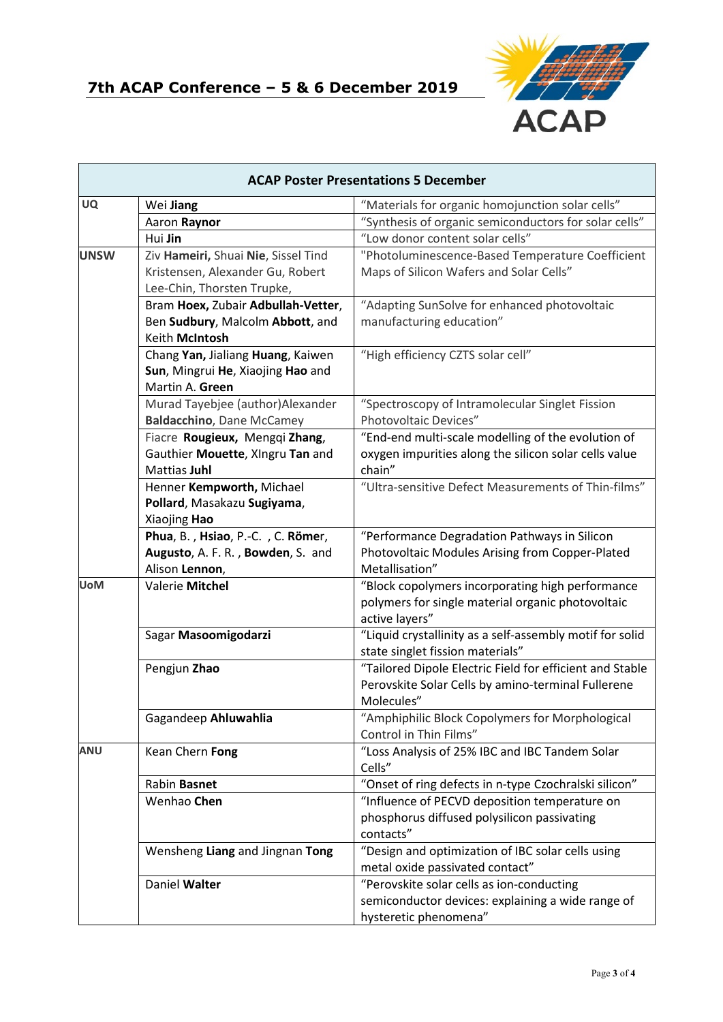# **7th ACAP Conference – 5 & 6 December 2019**

j.



| <b>ACAP Poster Presentations 5 December</b> |                                     |                                                          |  |  |
|---------------------------------------------|-------------------------------------|----------------------------------------------------------|--|--|
| <b>UQ</b>                                   | Wei Jiang                           | "Materials for organic homojunction solar cells"         |  |  |
|                                             | Aaron Raynor                        | "Synthesis of organic semiconductors for solar cells"    |  |  |
|                                             | Hui Jin                             | "Low donor content solar cells"                          |  |  |
| <b>UNSW</b>                                 | Ziv Hameiri, Shuai Nie, Sissel Tind | "Photoluminescence-Based Temperature Coefficient         |  |  |
|                                             | Kristensen, Alexander Gu, Robert    | Maps of Silicon Wafers and Solar Cells"                  |  |  |
|                                             | Lee-Chin, Thorsten Trupke,          |                                                          |  |  |
|                                             | Bram Hoex, Zubair Adbullah-Vetter,  | "Adapting SunSolve for enhanced photovoltaic             |  |  |
|                                             | Ben Sudbury, Malcolm Abbott, and    | manufacturing education"                                 |  |  |
|                                             | Keith McIntosh                      |                                                          |  |  |
|                                             | Chang Yan, Jialiang Huang, Kaiwen   | "High efficiency CZTS solar cell"                        |  |  |
|                                             | Sun, Mingrui He, Xiaojing Hao and   |                                                          |  |  |
|                                             | Martin A. Green                     |                                                          |  |  |
|                                             | Murad Tayebjee (author) Alexander   | "Spectroscopy of Intramolecular Singlet Fission          |  |  |
|                                             | <b>Baldacchino, Dane McCamey</b>    | Photovoltaic Devices"                                    |  |  |
|                                             | Fiacre Rougieux, Mengqi Zhang,      | "End-end multi-scale modelling of the evolution of       |  |  |
|                                             | Gauthier Mouette, Xingru Tan and    | oxygen impurities along the silicon solar cells value    |  |  |
|                                             | Mattias Juhl                        | chain"                                                   |  |  |
|                                             | Henner Kempworth, Michael           | "Ultra-sensitive Defect Measurements of Thin-films"      |  |  |
|                                             | Pollard, Masakazu Sugiyama,         |                                                          |  |  |
|                                             | Xiaojing Hao                        |                                                          |  |  |
|                                             | Phua, B., Hsiao, P.-C., C. Römer,   | "Performance Degradation Pathways in Silicon             |  |  |
|                                             | Augusto, A. F. R., Bowden, S. and   | Photovoltaic Modules Arising from Copper-Plated          |  |  |
|                                             | Alison Lennon,                      | Metallisation"                                           |  |  |
| <b>UoM</b>                                  | Valerie Mitchel                     | "Block copolymers incorporating high performance         |  |  |
|                                             |                                     | polymers for single material organic photovoltaic        |  |  |
|                                             |                                     | active layers"                                           |  |  |
|                                             | Sagar Masoomigodarzi                | "Liquid crystallinity as a self-assembly motif for solid |  |  |
|                                             |                                     | state singlet fission materials"                         |  |  |
|                                             | Pengjun Zhao                        | "Tailored Dipole Electric Field for efficient and Stable |  |  |
|                                             |                                     | Perovskite Solar Cells by amino-terminal Fullerene       |  |  |
|                                             |                                     | Molecules"                                               |  |  |
|                                             | Gagandeep Ahluwahlia                | "Amphiphilic Block Copolymers for Morphological          |  |  |
|                                             |                                     | Control in Thin Films"                                   |  |  |
| <b>ANU</b>                                  | Kean Chern Fong                     | "Loss Analysis of 25% IBC and IBC Tandem Solar           |  |  |
|                                             |                                     | Cells"                                                   |  |  |
|                                             | Rabin Basnet                        | "Onset of ring defects in n-type Czochralski silicon"    |  |  |
|                                             | Wenhao Chen                         | "Influence of PECVD deposition temperature on            |  |  |
|                                             |                                     | phosphorus diffused polysilicon passivating              |  |  |
|                                             |                                     | contacts"                                                |  |  |
|                                             | Wensheng Liang and Jingnan Tong     | "Design and optimization of IBC solar cells using        |  |  |
|                                             |                                     | metal oxide passivated contact"                          |  |  |
|                                             | Daniel Walter                       | "Perovskite solar cells as ion-conducting                |  |  |
|                                             |                                     | semiconductor devices: explaining a wide range of        |  |  |
|                                             |                                     | hysteretic phenomena"                                    |  |  |